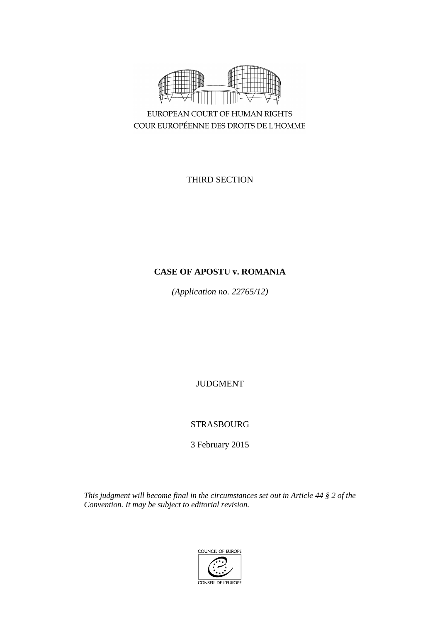

EUROPEAN COURT OF HUMAN RIGHTS COUR EUROPÉENNE DES DROITS DE L'HOMME

THIRD SECTION

# **CASE OF APOSTU v. ROMANIA**

*(Application no. 22765/12)*

JUDGMENT

STRASBOURG

3 February 2015

*This judgment will become final in the circumstances set out in Article 44 § 2 of the Convention. It may be subject to editorial revision.*

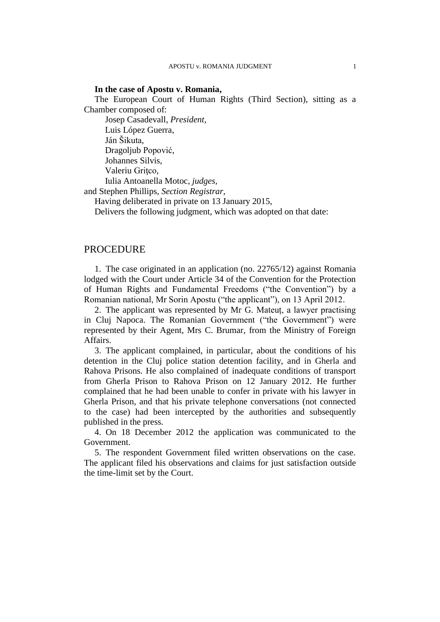# **In the case of Apostu v. Romania,**

The European Court of Human Rights (Third Section), sitting as a Chamber composed of:

Josep Casadevall, *President,* Luis López Guerra, Ján Šikuta, Dragoljub Popović, Johannes Silvis, Valeriu Gritco, Iulia Antoanella Motoc, *judges,* and Stephen Phillips, *Section Registrar,*

Having deliberated in private on 13 January 2015,

Delivers the following judgment, which was adopted on that date:

# PROCEDURE

1. The case originated in an application (no. 22765/12) against Romania lodged with the Court under Article 34 of the Convention for the Protection of Human Rights and Fundamental Freedoms ("the Convention") by a Romanian national, Mr Sorin Apostu ("the applicant"), on 13 April 2012.

2. The applicant was represented by Mr G. Mateuț, a lawyer practising in Cluj Napoca. The Romanian Government ("the Government") were represented by their Agent, Mrs C. Brumar, from the Ministry of Foreign Affairs.

3. The applicant complained, in particular, about the conditions of his detention in the Cluj police station detention facility, and in Gherla and Rahova Prisons. He also complained of inadequate conditions of transport from Gherla Prison to Rahova Prison on 12 January 2012. He further complained that he had been unable to confer in private with his lawyer in Gherla Prison, and that his private telephone conversations (not connected to the case) had been intercepted by the authorities and subsequently published in the press.

4. On 18 December 2012 the application was communicated to the Government.

5. The respondent Government filed written observations on the case. The applicant filed his observations and claims for just satisfaction outside the time-limit set by the Court.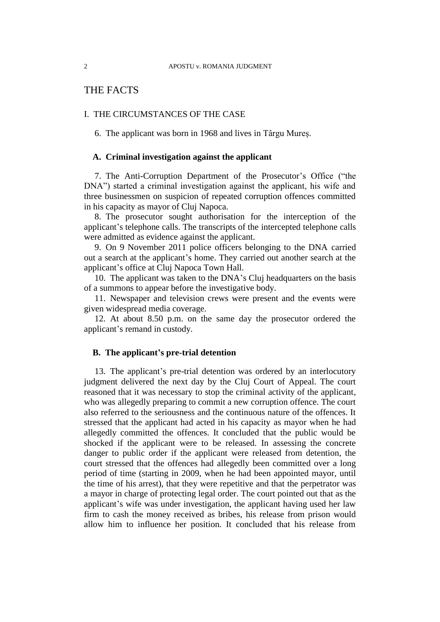# THE FACTS

# I. THE CIRCUMSTANCES OF THE CASE

6. The applicant was born in 1968 and lives in Târgu Mureș.

# **A. Criminal investigation against the applicant**

7. The Anti-Corruption Department of the Prosecutor's Office ("the DNA") started a criminal investigation against the applicant, his wife and three businessmen on suspicion of repeated corruption offences committed in his capacity as mayor of Cluj Napoca.

8. The prosecutor sought authorisation for the interception of the applicant's telephone calls. The transcripts of the intercepted telephone calls were admitted as evidence against the applicant.

9. On 9 November 2011 police officers belonging to the DNA carried out a search at the applicant's home. They carried out another search at the applicant's office at Cluj Napoca Town Hall.

10. The applicant was taken to the DNA's Cluj headquarters on the basis of a summons to appear before the investigative body.

11. Newspaper and television crews were present and the events were given widespread media coverage.

12. At about 8.50 p.m. on the same day the prosecutor ordered the applicant's remand in custody.

# **B. The applicant's pre-trial detention**

13. The applicant's pre-trial detention was ordered by an interlocutory judgment delivered the next day by the Cluj Court of Appeal. The court reasoned that it was necessary to stop the criminal activity of the applicant, who was allegedly preparing to commit a new corruption offence. The court also referred to the seriousness and the continuous nature of the offences. It stressed that the applicant had acted in his capacity as mayor when he had allegedly committed the offences. It concluded that the public would be shocked if the applicant were to be released. In assessing the concrete danger to public order if the applicant were released from detention, the court stressed that the offences had allegedly been committed over a long period of time (starting in 2009, when he had been appointed mayor, until the time of his arrest), that they were repetitive and that the perpetrator was a mayor in charge of protecting legal order. The court pointed out that as the applicant's wife was under investigation, the applicant having used her law firm to cash the money received as bribes, his release from prison would allow him to influence her position. It concluded that his release from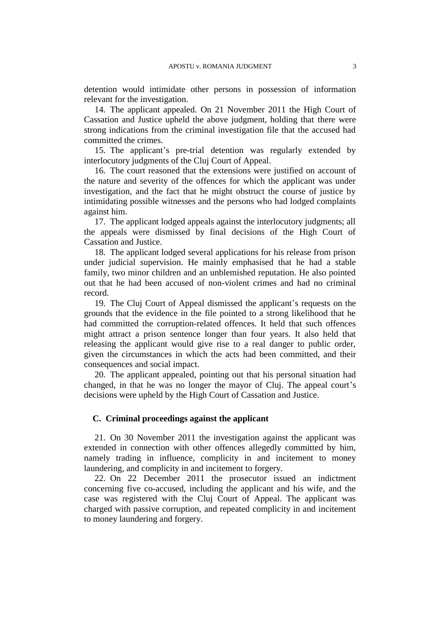detention would intimidate other persons in possession of information relevant for the investigation.

14. The applicant appealed. On 21 November 2011 the High Court of Cassation and Justice upheld the above judgment, holding that there were strong indications from the criminal investigation file that the accused had committed the crimes.

15. The applicant's pre-trial detention was regularly extended by interlocutory judgments of the Cluj Court of Appeal.

16. The court reasoned that the extensions were justified on account of the nature and severity of the offences for which the applicant was under investigation, and the fact that he might obstruct the course of justice by intimidating possible witnesses and the persons who had lodged complaints against him.

17. The applicant lodged appeals against the interlocutory judgments; all the appeals were dismissed by final decisions of the High Court of Cassation and Justice.

18. The applicant lodged several applications for his release from prison under judicial supervision. He mainly emphasised that he had a stable family, two minor children and an unblemished reputation. He also pointed out that he had been accused of non-violent crimes and had no criminal record.

19. The Cluj Court of Appeal dismissed the applicant's requests on the grounds that the evidence in the file pointed to a strong likelihood that he had committed the corruption-related offences. It held that such offences might attract a prison sentence longer than four years. It also held that releasing the applicant would give rise to a real danger to public order, given the circumstances in which the acts had been committed, and their consequences and social impact.

20. The applicant appealed, pointing out that his personal situation had changed, in that he was no longer the mayor of Cluj. The appeal court's decisions were upheld by the High Court of Cassation and Justice.

# **C. Criminal proceedings against the applicant**

21. On 30 November 2011 the investigation against the applicant was extended in connection with other offences allegedly committed by him, namely trading in influence, complicity in and incitement to money laundering, and complicity in and incitement to forgery.

22. On 22 December 2011 the prosecutor issued an indictment concerning five co-accused, including the applicant and his wife, and the case was registered with the Cluj Court of Appeal. The applicant was charged with passive corruption, and repeated complicity in and incitement to money laundering and forgery.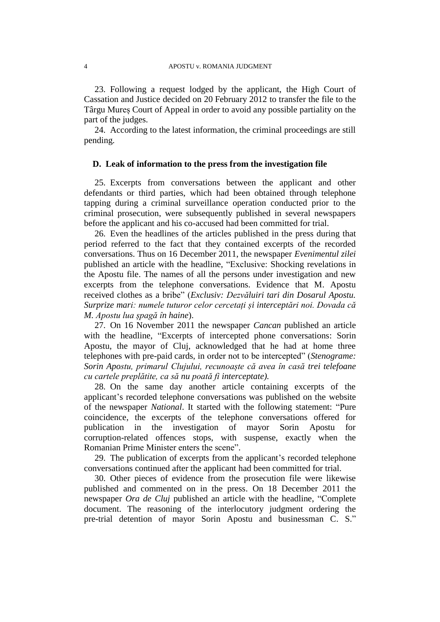23. Following a request lodged by the applicant, the High Court of Cassation and Justice decided on 20 February 2012 to transfer the file to the Târgu Mureș Court of Appeal in order to avoid any possible partiality on the part of the judges.

24. According to the latest information, the criminal proceedings are still pending.

# **D. Leak of information to the press from the investigation file**

25. Excerpts from conversations between the applicant and other defendants or third parties, which had been obtained through telephone tapping during a criminal surveillance operation conducted prior to the criminal prosecution, were subsequently published in several newspapers before the applicant and his co-accused had been committed for trial.

26. Even the headlines of the articles published in the press during that period referred to the fact that they contained excerpts of the recorded conversations. Thus on 16 December 2011, the newspaper *Evenimentul zilei*  published an article with the headline, "Exclusive: Shocking revelations in the Apostu file. The names of all the persons under investigation and new excerpts from the telephone conversations. Evidence that M. Apostu received clothes as a bribe" (*Exclusiv: Dezvăluiri tari din Dosarul Apostu. Surprize mari: numele tuturor celor cercetați și interceptări noi. Dovada că M. Apostu lua șpagă în haine*).

27. On 16 November 2011 the newspaper *Cancan* published an article with the headline, "Excerpts of intercepted phone conversations: Sorin Apostu, the mayor of Cluj, acknowledged that he had at home three telephones with pre-paid cards, in order not to be intercepted" (*Stenograme: Sorin Apostu, primarul Clujului, recunoaște că avea în casă trei telefoane cu cartele preplătite, ca să nu poată fi interceptate).*

28. On the same day another article containing excerpts of the applicant's recorded telephone conversations was published on the website of the newspaper *National*. It started with the following statement: "Pure coincidence, the excerpts of the telephone conversations offered for publication in the investigation of mayor Sorin Apostu for corruption-related offences stops, with suspense, exactly when the Romanian Prime Minister enters the scene".

29. The publication of excerpts from the applicant's recorded telephone conversations continued after the applicant had been committed for trial.

30. Other pieces of evidence from the prosecution file were likewise published and commented on in the press. On 18 December 2011 the newspaper *Ora de Cluj* published an article with the headline, "Complete document. The reasoning of the interlocutory judgment ordering the pre-trial detention of mayor Sorin Apostu and businessman C. S."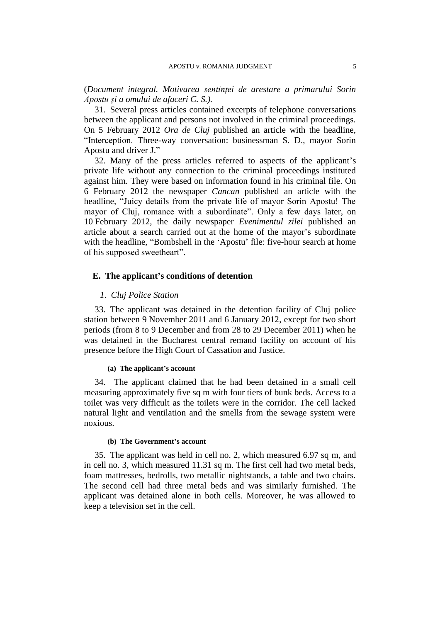(*Document integral. Motivarea sentinței de arestare a primarului Sorin Apostu și a omului de afaceri C. S.).*

31. Several press articles contained excerpts of telephone conversations between the applicant and persons not involved in the criminal proceedings. On 5 February 2012 *Ora de Cluj* published an article with the headline, "Interception. Three-way conversation: businessman S. D., mayor Sorin Apostu and driver J."

32. Many of the press articles referred to aspects of the applicant's private life without any connection to the criminal proceedings instituted against him. They were based on information found in his criminal file. On 6 February 2012 the newspaper *Cancan* published an article with the headline, "Juicy details from the private life of mayor Sorin Apostu! The mayor of Cluj, romance with a subordinate". Only a few days later, on 10 February 2012, the daily newspaper *Evenimentul zilei* published an article about a search carried out at the home of the mayor's subordinate with the headline, "Bombshell in the 'Apostu' file: five-hour search at home of his supposed sweetheart".

### **E. The applicant's conditions of detention**

# *1*. *Cluj Police Station*

33. The applicant was detained in the detention facility of Cluj police station between 9 November 2011 and 6 January 2012, except for two short periods (from 8 to 9 December and from 28 to 29 December 2011) when he was detained in the Bucharest central remand facility on account of his presence before the High Court of Cassation and Justice.

### **(a) The applicant's account**

34. The applicant claimed that he had been detained in a small cell measuring approximately five sq m with four tiers of bunk beds. Access to a toilet was very difficult as the toilets were in the corridor. The cell lacked natural light and ventilation and the smells from the sewage system were noxious.

### **(b) The Government's account**

35. The applicant was held in cell no. 2, which measured 6.97 sq m, and in cell no. 3, which measured 11.31 sq m. The first cell had two metal beds, foam mattresses, bedrolls, two metallic nightstands, a table and two chairs. The second cell had three metal beds and was similarly furnished. The applicant was detained alone in both cells. Moreover, he was allowed to keep a television set in the cell.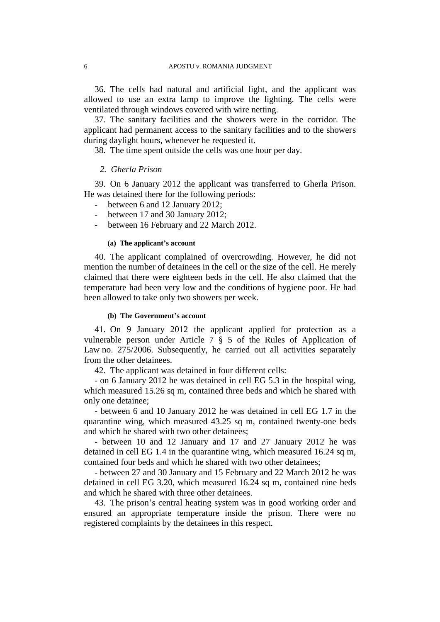36. The cells had natural and artificial light, and the applicant was allowed to use an extra lamp to improve the lighting. The cells were ventilated through windows covered with wire netting.

37. The sanitary facilities and the showers were in the corridor. The applicant had permanent access to the sanitary facilities and to the showers during daylight hours, whenever he requested it.

38. The time spent outside the cells was one hour per day.

## *2. Gherla Prison*

39. On 6 January 2012 the applicant was transferred to Gherla Prison. He was detained there for the following periods:

- between 6 and 12 January 2012;
- between 17 and 30 January 2012;
- between 16 February and 22 March 2012.

### **(a) The applicant's account**

40. The applicant complained of overcrowding. However, he did not mention the number of detainees in the cell or the size of the cell. He merely claimed that there were eighteen beds in the cell. He also claimed that the temperature had been very low and the conditions of hygiene poor. He had been allowed to take only two showers per week.

#### **(b) The Government's account**

41. On 9 January 2012 the applicant applied for protection as a vulnerable person under Article 7 § 5 of the Rules of Application of Law no. 275/2006. Subsequently, he carried out all activities separately from the other detainees.

42. The applicant was detained in four different cells:

- on 6 January 2012 he was detained in cell EG 5.3 in the hospital wing, which measured 15.26 sq m, contained three beds and which he shared with only one detainee;

- between 6 and 10 January 2012 he was detained in cell EG 1.7 in the quarantine wing, which measured 43.25 sq m, contained twenty-one beds and which he shared with two other detainees;

- between 10 and 12 January and 17 and 27 January 2012 he was detained in cell EG 1.4 in the quarantine wing, which measured 16.24 sq m, contained four beds and which he shared with two other detainees;

- between 27 and 30 January and 15 February and 22 March 2012 he was detained in cell EG 3.20, which measured 16.24 sq m, contained nine beds and which he shared with three other detainees.

43. The prison's central heating system was in good working order and ensured an appropriate temperature inside the prison. There were no registered complaints by the detainees in this respect.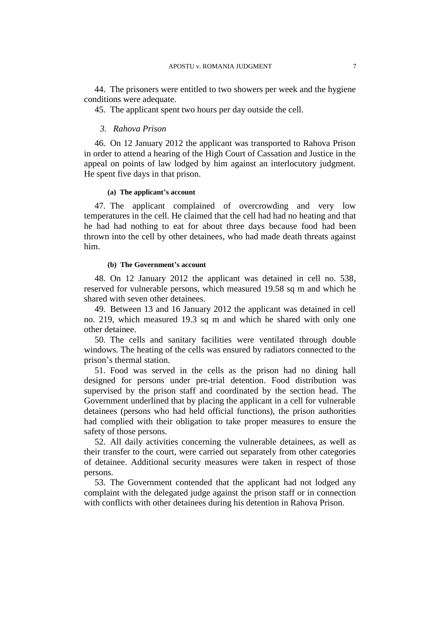44. The prisoners were entitled to two showers per week and the hygiene conditions were adequate.

45. The applicant spent two hours per day outside the cell.

### *3. Rahova Prison*

46. On 12 January 2012 the applicant was transported to Rahova Prison in order to attend a hearing of the High Court of Cassation and Justice in the appeal on points of law lodged by him against an interlocutory judgment. He spent five days in that prison.

### **(a) The applicant's account**

47. The applicant complained of overcrowding and very low temperatures in the cell. He claimed that the cell had had no heating and that he had had nothing to eat for about three days because food had been thrown into the cell by other detainees, who had made death threats against him.

#### **(b) The Government's account**

48. On 12 January 2012 the applicant was detained in cell no. 538, reserved for vulnerable persons, which measured 19.58 sq m and which he shared with seven other detainees.

49. Between 13 and 16 January 2012 the applicant was detained in cell no. 219, which measured 19.3 sq m and which he shared with only one other detainee.

50. The cells and sanitary facilities were ventilated through double windows. The heating of the cells was ensured by radiators connected to the prison's thermal station.

51. Food was served in the cells as the prison had no dining hall designed for persons under pre-trial detention. Food distribution was supervised by the prison staff and coordinated by the section head. The Government underlined that by placing the applicant in a cell for vulnerable detainees (persons who had held official functions), the prison authorities had complied with their obligation to take proper measures to ensure the safety of those persons.

52. All daily activities concerning the vulnerable detainees, as well as their transfer to the court, were carried out separately from other categories of detainee. Additional security measures were taken in respect of those persons.

53. The Government contended that the applicant had not lodged any complaint with the delegated judge against the prison staff or in connection with conflicts with other detainees during his detention in Rahova Prison.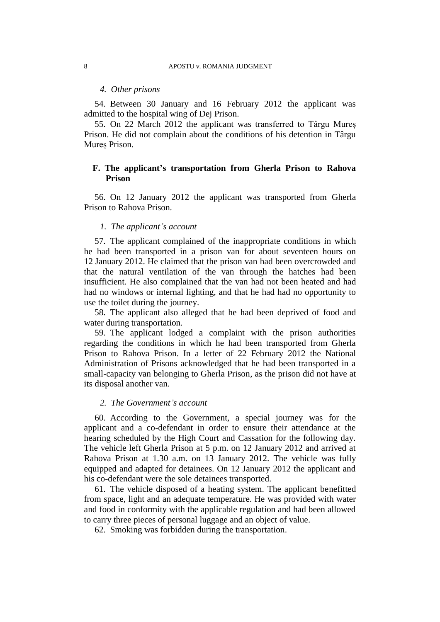### *4. Other prisons*

54. Between 30 January and 16 February 2012 the applicant was admitted to the hospital wing of Dej Prison.

55. On 22 March 2012 the applicant was transferred to Târgu Mureș Prison. He did not complain about the conditions of his detention in Târgu Mureș Prison.

# **F. The applicant's transportation from Gherla Prison to Rahova Prison**

56. On 12 January 2012 the applicant was transported from Gherla Prison to Rahova Prison.

### *1. The applicant's account*

57. The applicant complained of the inappropriate conditions in which he had been transported in a prison van for about seventeen hours on 12 January 2012. He claimed that the prison van had been overcrowded and that the natural ventilation of the van through the hatches had been insufficient. He also complained that the van had not been heated and had had no windows or internal lighting, and that he had had no opportunity to use the toilet during the journey.

58. The applicant also alleged that he had been deprived of food and water during transportation.

59. The applicant lodged a complaint with the prison authorities regarding the conditions in which he had been transported from Gherla Prison to Rahova Prison. In a letter of 22 February 2012 the National Administration of Prisons acknowledged that he had been transported in a small-capacity van belonging to Gherla Prison, as the prison did not have at its disposal another van.

# *2. The Government's account*

60. According to the Government, a special journey was for the applicant and a co-defendant in order to ensure their attendance at the hearing scheduled by the High Court and Cassation for the following day. The vehicle left Gherla Prison at 5 p.m. on 12 January 2012 and arrived at Rahova Prison at 1.30 a.m. on 13 January 2012. The vehicle was fully equipped and adapted for detainees. On 12 January 2012 the applicant and his co-defendant were the sole detainees transported.

61. The vehicle disposed of a heating system. The applicant benefitted from space, light and an adequate temperature. He was provided with water and food in conformity with the applicable regulation and had been allowed to carry three pieces of personal luggage and an object of value.

62. Smoking was forbidden during the transportation.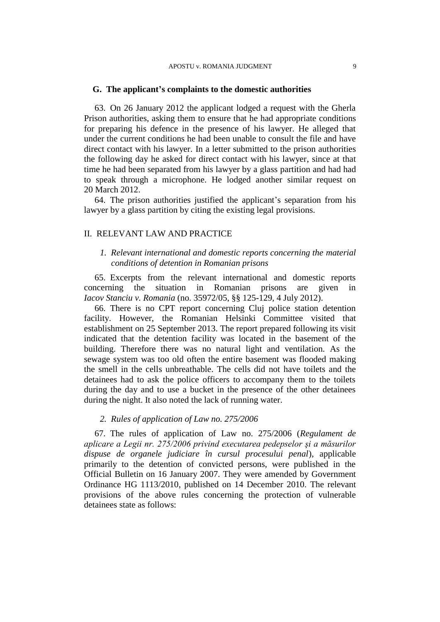### **G. The applicant's complaints to the domestic authorities**

63. On 26 January 2012 the applicant lodged a request with the Gherla Prison authorities, asking them to ensure that he had appropriate conditions for preparing his defence in the presence of his lawyer. He alleged that under the current conditions he had been unable to consult the file and have direct contact with his lawyer. In a letter submitted to the prison authorities the following day he asked for direct contact with his lawyer, since at that time he had been separated from his lawyer by a glass partition and had had to speak through a microphone. He lodged another similar request on 20 March 2012.

64. The prison authorities justified the applicant's separation from his lawyer by a glass partition by citing the existing legal provisions.

# II. RELEVANT LAW AND PRACTICE

# *1. Relevant international and domestic reports concerning the material conditions of detention in Romanian prisons*

65. Excerpts from the relevant international and domestic reports concerning the situation in Romanian prisons are given in *Iacov Stanciu v. Romania* (no. 35972/05, §§ 125-129, 4 July 2012).

66. There is no CPT report concerning Cluj police station detention facility. However, the Romanian Helsinki Committee visited that establishment on 25 September 2013. The report prepared following its visit indicated that the detention facility was located in the basement of the building. Therefore there was no natural light and ventilation. As the sewage system was too old often the entire basement was flooded making the smell in the cells unbreathable. The cells did not have toilets and the detainees had to ask the police officers to accompany them to the toilets during the day and to use a bucket in the presence of the other detainees during the night. It also noted the lack of running water.

# *2. Rules of application of Law no. 275/2006*

67. The rules of application of Law no. 275/2006 (*Regulament de aplicare a Legii nr. 275/2006 privind executarea pedepselor şi a măsurilor dispuse de organele judiciare în cursul procesului penal*), applicable primarily to the detention of convicted persons, were published in the Official Bulletin on 16 January 2007. They were amended by Government Ordinance HG 1113/2010, published on 14 December 2010. The relevant provisions of the above rules concerning the protection of vulnerable detainees state as follows: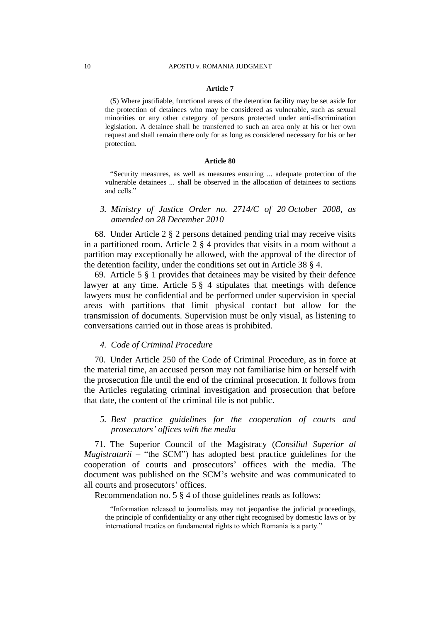#### **Article 7**

(5) Where justifiable, functional areas of the detention facility may be set aside for the protection of detainees who may be considered as vulnerable, such as sexual minorities or any other category of persons protected under anti-discrimination legislation. A detainee shall be transferred to such an area only at his or her own request and shall remain there only for as long as considered necessary for his or her protection.

#### **Article 80**

"Security measures, as well as measures ensuring ... adequate protection of the vulnerable detainees ... shall be observed in the allocation of detainees to sections and cells."

# *3. Ministry of Justice Order no. 2714/C of 20 October 2008, as amended on 28 December 2010*

68. Under Article 2 § 2 persons detained pending trial may receive visits in a partitioned room. Article 2 § 4 provides that visits in a room without a partition may exceptionally be allowed, with the approval of the director of the detention facility, under the conditions set out in Article 38 § 4.

69. Article 5 § 1 provides that detainees may be visited by their defence lawyer at any time. Article 5 § 4 stipulates that meetings with defence lawyers must be confidential and be performed under supervision in special areas with partitions that limit physical contact but allow for the transmission of documents. Supervision must be only visual, as listening to conversations carried out in those areas is prohibited.

# *4. Code of Criminal Procedure*

70. Under Article 250 of the Code of Criminal Procedure, as in force at the material time, an accused person may not familiarise him or herself with the prosecution file until the end of the criminal prosecution. It follows from the Articles regulating criminal investigation and prosecution that before that date, the content of the criminal file is not public.

# *5. Best practice guidelines for the cooperation of courts and prosecutors' offices with the media*

71. The Superior Council of the Magistracy (*Consiliul Superior al Magistraturii* – "the SCM") has adopted best practice guidelines for the cooperation of courts and prosecutors' offices with the media. The document was published on the SCM's website and was communicated to all courts and prosecutors' offices.

Recommendation no. 5 § 4 of those guidelines reads as follows:

"Information released to journalists may not jeopardise the judicial proceedings, the principle of confidentiality or any other right recognised by domestic laws or by international treaties on fundamental rights to which Romania is a party."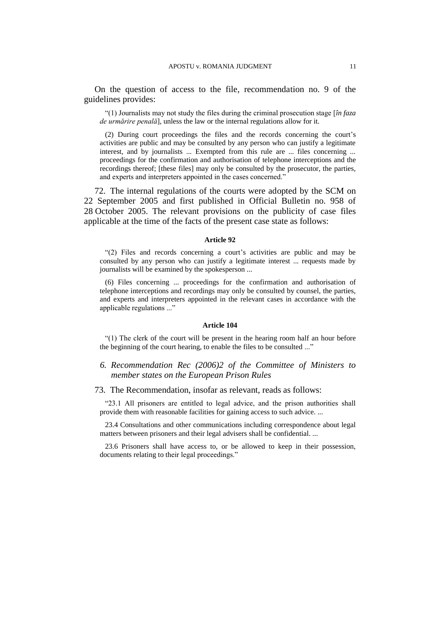On the question of access to the file, recommendation no. 9 of the guidelines provides:

"(1) Journalists may not study the files during the criminal prosecution stage [*în faza de urmărire penală*], unless the law or the internal regulations allow for it.

(2) During court proceedings the files and the records concerning the court's activities are public and may be consulted by any person who can justify a legitimate interest, and by journalists ... Exempted from this rule are ... files concerning ... proceedings for the confirmation and authorisation of telephone interceptions and the recordings thereof; [these files] may only be consulted by the prosecutor, the parties, and experts and interpreters appointed in the cases concerned."

72. The internal regulations of the courts were adopted by the SCM on 22 September 2005 and first published in Official Bulletin no. 958 of 28 October 2005. The relevant provisions on the publicity of case files applicable at the time of the facts of the present case state as follows:

#### **Article 92**

"(2) Files and records concerning a court's activities are public and may be consulted by any person who can justify a legitimate interest ... requests made by journalists will be examined by the spokesperson ...

(6) Files concerning ... proceedings for the confirmation and authorisation of telephone interceptions and recordings may only be consulted by counsel, the parties, and experts and interpreters appointed in the relevant cases in accordance with the applicable regulations ..."

#### **Article 104**

"(1) The clerk of the court will be present in the hearing room half an hour before the beginning of the court hearing, to enable the files to be consulted ..."

# *6. Recommendation Rec (2006)2 of the Committee of Ministers to member states on the European Prison Rules*

73. The Recommendation, insofar as relevant, reads as follows:

"23.1 All prisoners are entitled to legal advice, and the prison authorities shall provide them with reasonable facilities for gaining access to such advice. ...

23.4 Consultations and other communications including correspondence about legal matters between prisoners and their legal advisers shall be confidential. ...

23.6 Prisoners shall have access to, or be allowed to keep in their possession, documents relating to their legal proceedings."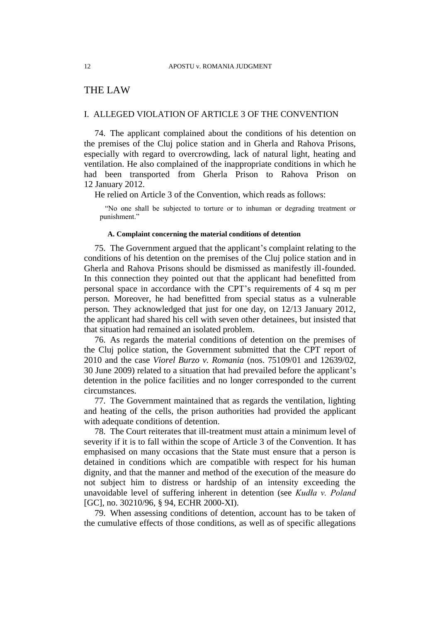# THE LAW

# I. ALLEGED VIOLATION OF ARTICLE 3 OF THE CONVENTION

74. The applicant complained about the conditions of his detention on the premises of the Cluj police station and in Gherla and Rahova Prisons, especially with regard to overcrowding, lack of natural light, heating and ventilation. He also complained of the inappropriate conditions in which he had been transported from Gherla Prison to Rahova Prison on 12 January 2012.

He relied on Article 3 of the Convention, which reads as follows:

"No one shall be subjected to torture or to inhuman or degrading treatment or punishment."

### **A. Complaint concerning the material conditions of detention**

75. The Government argued that the applicant's complaint relating to the conditions of his detention on the premises of the Cluj police station and in Gherla and Rahova Prisons should be dismissed as manifestly ill-founded. In this connection they pointed out that the applicant had benefitted from personal space in accordance with the CPT's requirements of 4 sq m per person. Moreover, he had benefitted from special status as a vulnerable person. They acknowledged that just for one day, on 12/13 January 2012, the applicant had shared his cell with seven other detainees, but insisted that that situation had remained an isolated problem.

76. As regards the material conditions of detention on the premises of the Cluj police station, the Government submitted that the CPT report of 2010 and the case *Viorel Burzo v. Romania* (nos. 75109/01 and 12639/02, 30 June 2009) related to a situation that had prevailed before the applicant's detention in the police facilities and no longer corresponded to the current circumstances.

77. The Government maintained that as regards the ventilation, lighting and heating of the cells, the prison authorities had provided the applicant with adequate conditions of detention.

78. The Court reiterates that ill-treatment must attain a minimum level of severity if it is to fall within the scope of Article 3 of the Convention. It has emphasised on many occasions that the State must ensure that a person is detained in conditions which are compatible with respect for his human dignity, and that the manner and method of the execution of the measure do not subject him to distress or hardship of an intensity exceeding the unavoidable level of suffering inherent in detention (see *Kudła v. Poland*  [GC], no. 30210/96, § 94, ECHR 2000-XI).

79. When assessing conditions of detention, account has to be taken of the cumulative effects of those conditions, as well as of specific allegations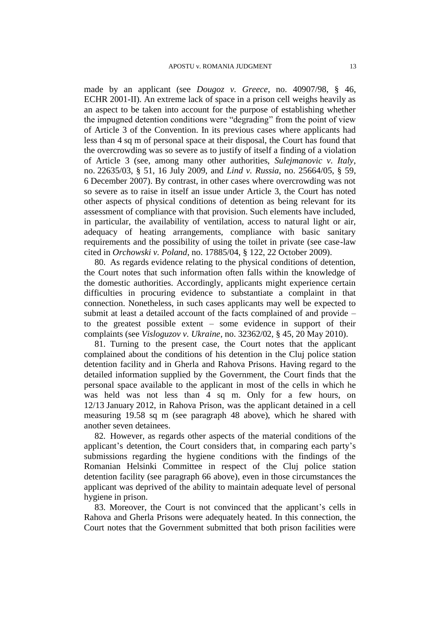made by an applicant (see *Dougoz v. Greece*, no. 40907/98, § 46, ECHR 2001-II). An extreme lack of space in a prison cell weighs heavily as an aspect to be taken into account for the purpose of establishing whether the impugned detention conditions were "degrading" from the point of view of Article 3 of the Convention. In its previous cases where applicants had less than 4 sq m of personal space at their disposal, the Court has found that the overcrowding was so severe as to justify of itself a finding of a violation of Article 3 (see, among many other authorities, *Sulejmanovic v. Italy*, no. 22635/03, § 51, 16 July 2009, and *Lind v. Russia*, no. 25664/05, § 59, 6 December 2007). By contrast, in other cases where overcrowding was not so severe as to raise in itself an issue under Article 3, the Court has noted other aspects of physical conditions of detention as being relevant for its assessment of compliance with that provision. Such elements have included, in particular, the availability of ventilation, access to natural light or air, adequacy of heating arrangements, compliance with basic sanitary requirements and the possibility of using the toilet in private (see case-law cited in *Orchowski v. Poland*, no. 17885/04, § 122, 22 October 2009).

80. As regards evidence relating to the physical conditions of detention, the Court notes that such information often falls within the knowledge of the domestic authorities. Accordingly, applicants might experience certain difficulties in procuring evidence to substantiate a complaint in that connection. Nonetheless, in such cases applicants may well be expected to submit at least a detailed account of the facts complained of and provide – to the greatest possible extent – some evidence in support of their complaints (see *Visloguzov v. Ukraine*, no. 32362/02, § 45, 20 May 2010).

81. Turning to the present case, the Court notes that the applicant complained about the conditions of his detention in the Cluj police station detention facility and in Gherla and Rahova Prisons. Having regard to the detailed information supplied by the Government, the Court finds that the personal space available to the applicant in most of the cells in which he was held was not less than 4 sq m. Only for a few hours, on 12/13 January 2012, in Rahova Prison, was the applicant detained in a cell measuring 19.58 sq m (see paragraph 48 above), which he shared with another seven detainees.

82. However, as regards other aspects of the material conditions of the applicant's detention, the Court considers that, in comparing each party's submissions regarding the hygiene conditions with the findings of the Romanian Helsinki Committee in respect of the Cluj police station detention facility (see paragraph 66 above), even in those circumstances the applicant was deprived of the ability to maintain adequate level of personal hygiene in prison.

83. Moreover, the Court is not convinced that the applicant's cells in Rahova and Gherla Prisons were adequately heated. In this connection, the Court notes that the Government submitted that both prison facilities were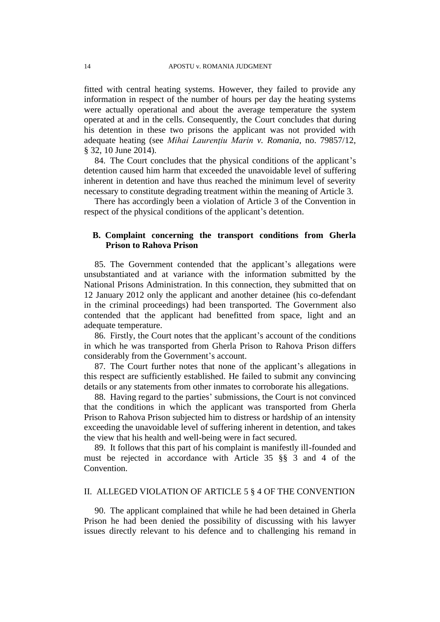fitted with central heating systems. However, they failed to provide any information in respect of the number of hours per day the heating systems were actually operational and about the average temperature the system operated at and in the cells. Consequently, the Court concludes that during his detention in these two prisons the applicant was not provided with adequate heating (see *Mihai Laurenţiu Marin v. Romania*, no. 79857/12, § 32, 10 June 2014).

84. The Court concludes that the physical conditions of the applicant's detention caused him harm that exceeded the unavoidable level of suffering inherent in detention and have thus reached the minimum level of severity necessary to constitute degrading treatment within the meaning of Article 3.

There has accordingly been a violation of Article 3 of the Convention in respect of the physical conditions of the applicant's detention.

# **B. Complaint concerning the transport conditions from Gherla Prison to Rahova Prison**

85. The Government contended that the applicant's allegations were unsubstantiated and at variance with the information submitted by the National Prisons Administration. In this connection, they submitted that on 12 January 2012 only the applicant and another detainee (his co-defendant in the criminal proceedings) had been transported. The Government also contended that the applicant had benefitted from space, light and an adequate temperature.

86. Firstly, the Court notes that the applicant's account of the conditions in which he was transported from Gherla Prison to Rahova Prison differs considerably from the Government's account.

87. The Court further notes that none of the applicant's allegations in this respect are sufficiently established. He failed to submit any convincing details or any statements from other inmates to corroborate his allegations.

88. Having regard to the parties' submissions, the Court is not convinced that the conditions in which the applicant was transported from Gherla Prison to Rahova Prison subjected him to distress or hardship of an intensity exceeding the unavoidable level of suffering inherent in detention, and takes the view that his health and well-being were in fact secured.

89. It follows that this part of his complaint is manifestly ill-founded and must be rejected in accordance with Article 35 §§ 3 and 4 of the Convention.

# II. ALLEGED VIOLATION OF ARTICLE 5 § 4 OF THE CONVENTION

90. The applicant complained that while he had been detained in Gherla Prison he had been denied the possibility of discussing with his lawyer issues directly relevant to his defence and to challenging his remand in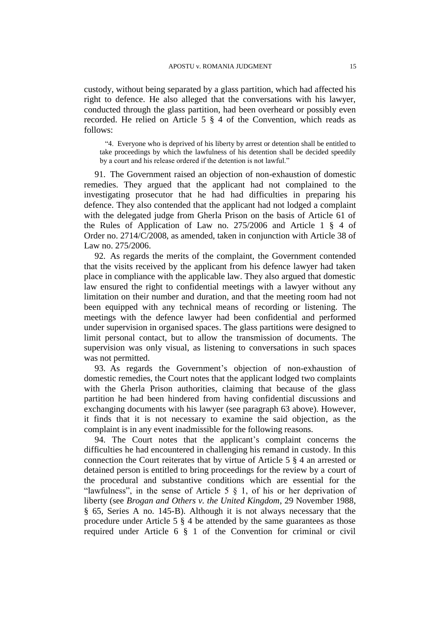custody, without being separated by a glass partition, which had affected his right to defence. He also alleged that the conversations with his lawyer, conducted through the glass partition, had been overheard or possibly even recorded. He relied on Article 5 § 4 of the Convention, which reads as follows:

"4. Everyone who is deprived of his liberty by arrest or detention shall be entitled to take proceedings by which the lawfulness of his detention shall be decided speedily by a court and his release ordered if the detention is not lawful."

91. The Government raised an objection of non-exhaustion of domestic remedies. They argued that the applicant had not complained to the investigating prosecutor that he had had difficulties in preparing his defence. They also contended that the applicant had not lodged a complaint with the delegated judge from Gherla Prison on the basis of Article 61 of the Rules of Application of Law no. 275/2006 and Article 1 § 4 of Order no. 2714/C/2008, as amended, taken in conjunction with Article 38 of Law no. 275/2006.

92. As regards the merits of the complaint, the Government contended that the visits received by the applicant from his defence lawyer had taken place in compliance with the applicable law. They also argued that domestic law ensured the right to confidential meetings with a lawyer without any limitation on their number and duration, and that the meeting room had not been equipped with any technical means of recording or listening. The meetings with the defence lawyer had been confidential and performed under supervision in organised spaces. The glass partitions were designed to limit personal contact, but to allow the transmission of documents. The supervision was only visual, as listening to conversations in such spaces was not permitted.

93. As regards the Government's objection of non-exhaustion of domestic remedies, the Court notes that the applicant lodged two complaints with the Gherla Prison authorities, claiming that because of the glass partition he had been hindered from having confidential discussions and exchanging documents with his lawyer (see paragraph 63 above). However, it finds that it is not necessary to examine the said objection, as the complaint is in any event inadmissible for the following reasons.

94. The Court notes that the applicant's complaint concerns the difficulties he had encountered in challenging his remand in custody. In this connection the Court reiterates that by virtue of Article 5 § 4 an arrested or detained person is entitled to bring proceedings for the review by a court of the procedural and substantive conditions which are essential for the "lawfulness", in the sense of Article  $5 \& 1$ , of his or her deprivation of liberty (see *Brogan and Others v. the United Kingdom*, 29 November 1988, § 65, Series A no. 145-B). Although it is not always necessary that the procedure under Article 5 § 4 be attended by the same guarantees as those required under Article 6 § 1 of the Convention for criminal or civil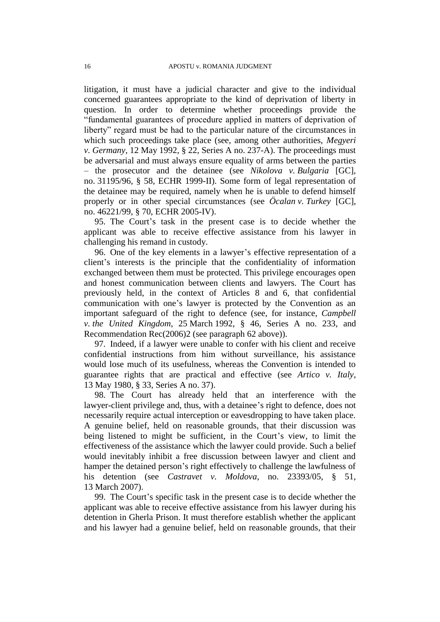litigation, it must have a judicial character and give to the individual concerned guarantees appropriate to the kind of deprivation of liberty in question. In order to determine whether proceedings provide the "fundamental guarantees of procedure applied in matters of deprivation of liberty" regard must be had to the particular nature of the circumstances in which such proceedings take place (see, among other authorities, *Megyeri v. Germany*, 12 May 1992, § 22, Series A no. 237-A). The proceedings must be adversarial and must always ensure equality of arms between the parties – the prosecutor and the detainee (see *Nikolova v. Bulgaria* [GC], no. 31195/96, § 58, ECHR 1999-II). Some form of legal representation of the detainee may be required, namely when he is unable to defend himself properly or in other special circumstances (see *Öcalan v. Turkey* [GC], no. 46221/99, § 70, ECHR 2005-IV).

95. The Court's task in the present case is to decide whether the applicant was able to receive effective assistance from his lawyer in challenging his remand in custody.

96. One of the key elements in a lawyer's effective representation of a client's interests is the principle that the confidentiality of information exchanged between them must be protected. This privilege encourages open and honest communication between clients and lawyers. The Court has previously held, in the context of Articles 8 and 6, that confidential communication with one's lawyer is protected by the Convention as an important safeguard of the right to defence (see, for instance, *Campbell v. the United Kingdom*, 25 March 1992, § 46, Series A no. 233, and Recommendation Rec(2006)2 (see paragraph 62 above)).

97. Indeed, if a lawyer were unable to confer with his client and receive confidential instructions from him without surveillance, his assistance would lose much of its usefulness, whereas the Convention is intended to guarantee rights that are practical and effective (see *Artico v. Italy*, 13 May 1980, § 33, Series A no. 37).

98. The Court has already held that an interference with the lawyer-client privilege and, thus, with a detainee's right to defence, does not necessarily require actual interception or eavesdropping to have taken place. A genuine belief, held on reasonable grounds, that their discussion was being listened to might be sufficient, in the Court's view, to limit the effectiveness of the assistance which the lawyer could provide. Such a belief would inevitably inhibit a free discussion between lawyer and client and hamper the detained person's right effectively to challenge the lawfulness of his detention (see *Castravet v. Moldova*, no. 23393/05, § 51, 13 March 2007).

99. The Court's specific task in the present case is to decide whether the applicant was able to receive effective assistance from his lawyer during his detention in Gherla Prison. It must therefore establish whether the applicant and his lawyer had a genuine belief, held on reasonable grounds, that their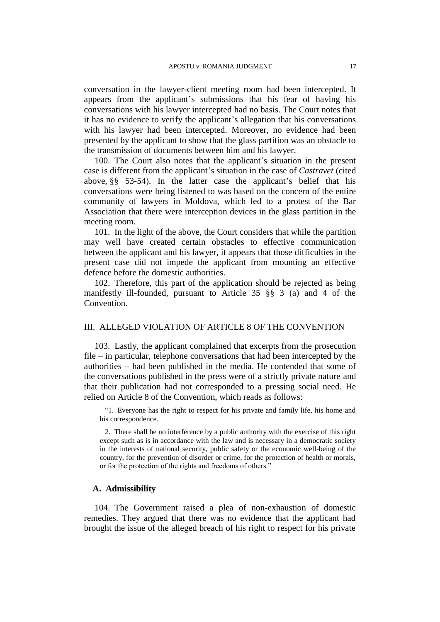conversation in the lawyer-client meeting room had been intercepted. It appears from the applicant's submissions that his fear of having his conversations with his lawyer intercepted had no basis. The Court notes that it has no evidence to verify the applicant's allegation that his conversations with his lawyer had been intercepted. Moreover, no evidence had been presented by the applicant to show that the glass partition was an obstacle to the transmission of documents between him and his lawyer.

100. The Court also notes that the applicant's situation in the present case is different from the applicant's situation in the case of *Castravet* (cited above, §§ 53-54). In the latter case the applicant's belief that his conversations were being listened to was based on the concern of the entire community of lawyers in Moldova, which led to a protest of the Bar Association that there were interception devices in the glass partition in the meeting room.

101. In the light of the above, the Court considers that while the partition may well have created certain obstacles to effective communication between the applicant and his lawyer, it appears that those difficulties in the present case did not impede the applicant from mounting an effective defence before the domestic authorities.

102. Therefore, this part of the application should be rejected as being manifestly ill-founded, pursuant to Article 35 §§ 3 (a) and 4 of the Convention.

## III. ALLEGED VIOLATION OF ARTICLE 8 OF THE CONVENTION

103. Lastly, the applicant complained that excerpts from the prosecution file – in particular, telephone conversations that had been intercepted by the authorities – had been published in the media. He contended that some of the conversations published in the press were of a strictly private nature and that their publication had not corresponded to a pressing social need. He relied on Article 8 of the Convention, which reads as follows:

"1. Everyone has the right to respect for his private and family life, his home and his correspondence.

2. There shall be no interference by a public authority with the exercise of this right except such as is in accordance with the law and is necessary in a democratic society in the interests of national security, public safety or the economic well-being of the country, for the prevention of disorder or crime, for the protection of health or morals, or for the protection of the rights and freedoms of others."

# **A. Admissibility**

104. The Government raised a plea of non-exhaustion of domestic remedies. They argued that there was no evidence that the applicant had brought the issue of the alleged breach of his right to respect for his private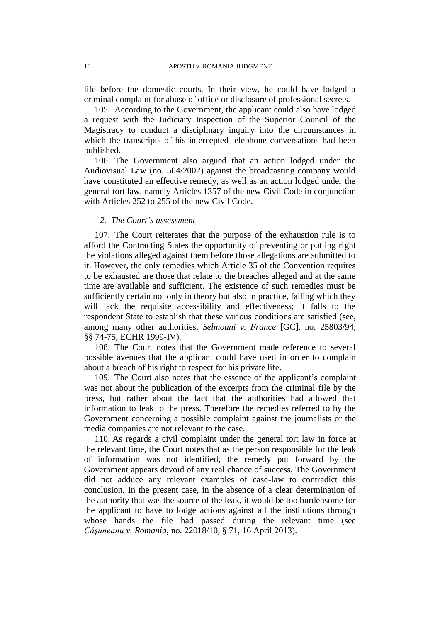life before the domestic courts. In their view, he could have lodged a criminal complaint for abuse of office or disclosure of professional secrets.

105. According to the Government, the applicant could also have lodged a request with the Judiciary Inspection of the Superior Council of the Magistracy to conduct a disciplinary inquiry into the circumstances in which the transcripts of his intercepted telephone conversations had been published.

106. The Government also argued that an action lodged under the Audiovisual Law (no. 504/2002) against the broadcasting company would have constituted an effective remedy, as well as an action lodged under the general tort law, namely Articles 1357 of the new Civil Code in conjunction with Articles 252 to 255 of the new Civil Code.

### *2. The Court's assessment*

107. The Court reiterates that the purpose of the exhaustion rule is to afford the Contracting States the opportunity of preventing or putting right the violations alleged against them before those allegations are submitted to it. However, the only remedies which Article 35 of the Convention requires to be exhausted are those that relate to the breaches alleged and at the same time are available and sufficient. The existence of such remedies must be sufficiently certain not only in theory but also in practice, failing which they will lack the requisite accessibility and effectiveness; it falls to the respondent State to establish that these various conditions are satisfied (see, among many other authorities, *Selmouni v. France* [GC], no. 25803/94, §§ 74-75, ECHR 1999-IV).

108. The Court notes that the Government made reference to several possible avenues that the applicant could have used in order to complain about a breach of his right to respect for his private life.

109. The Court also notes that the essence of the applicant's complaint was not about the publication of the excerpts from the criminal file by the press, but rather about the fact that the authorities had allowed that information to leak to the press. Therefore the remedies referred to by the Government concerning a possible complaint against the journalists or the media companies are not relevant to the case.

110. As regards a civil complaint under the general tort law in force at the relevant time, the Court notes that as the person responsible for the leak of information was not identified, the remedy put forward by the Government appears devoid of any real chance of success. The Government did not adduce any relevant examples of case-law to contradict this conclusion. In the present case, in the absence of a clear determination of the authority that was the source of the leak, it would be too burdensome for the applicant to have to lodge actions against all the institutions through whose hands the file had passed during the relevant time (see *Căşuneanu v. Romania*, no. 22018/10, § 71, 16 April 2013).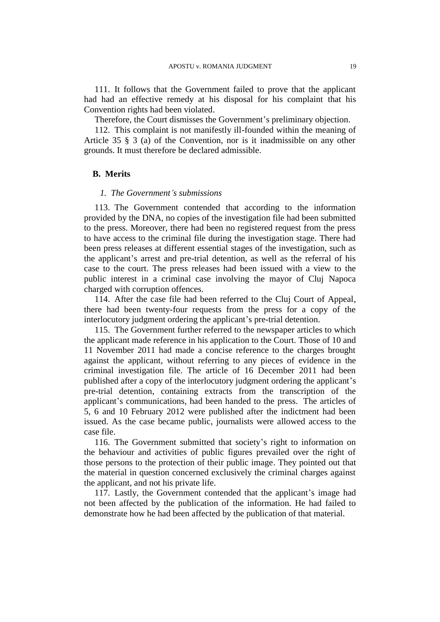111. It follows that the Government failed to prove that the applicant had had an effective remedy at his disposal for his complaint that his Convention rights had been violated.

Therefore, the Court dismisses the Government's preliminary objection.

112. This complaint is not manifestly ill-founded within the meaning of Article 35 § 3 (a) of the Convention, nor is it inadmissible on any other grounds. It must therefore be declared admissible.

# **B. Merits**

### *1. The Government's submissions*

113. The Government contended that according to the information provided by the DNA, no copies of the investigation file had been submitted to the press. Moreover, there had been no registered request from the press to have access to the criminal file during the investigation stage. There had been press releases at different essential stages of the investigation, such as the applicant's arrest and pre-trial detention, as well as the referral of his case to the court. The press releases had been issued with a view to the public interest in a criminal case involving the mayor of Cluj Napoca charged with corruption offences.

114. After the case file had been referred to the Cluj Court of Appeal, there had been twenty-four requests from the press for a copy of the interlocutory judgment ordering the applicant's pre-trial detention.

115. The Government further referred to the newspaper articles to which the applicant made reference in his application to the Court. Those of 10 and 11 November 2011 had made a concise reference to the charges brought against the applicant, without referring to any pieces of evidence in the criminal investigation file. The article of 16 December 2011 had been published after a copy of the interlocutory judgment ordering the applicant's pre-trial detention, containing extracts from the transcription of the applicant's communications, had been handed to the press. The articles of 5, 6 and 10 February 2012 were published after the indictment had been issued. As the case became public, journalists were allowed access to the case file.

116. The Government submitted that society's right to information on the behaviour and activities of public figures prevailed over the right of those persons to the protection of their public image. They pointed out that the material in question concerned exclusively the criminal charges against the applicant, and not his private life.

117. Lastly, the Government contended that the applicant's image had not been affected by the publication of the information. He had failed to demonstrate how he had been affected by the publication of that material.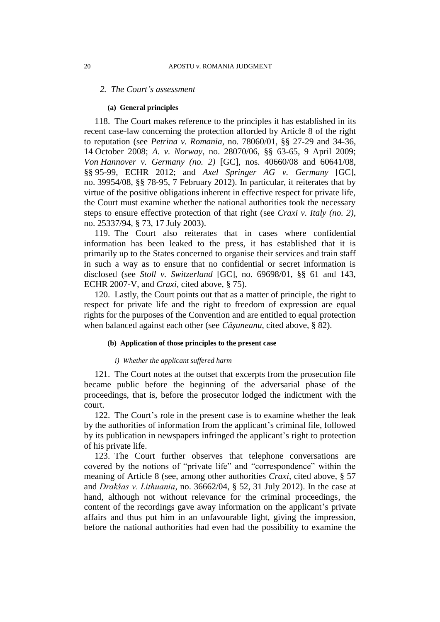### *2. The Court's assessment*

#### **(a) General principles**

118. The Court makes reference to the principles it has established in its recent case-law concerning the protection afforded by Article 8 of the right to reputation (see *Petrina v. Romania*, no. 78060/01, §§ 27-29 and 34-36, 14 October 2008; *A. v. Norway*, no. 28070/06, §§ 63-65, 9 April 2009; *Von Hannover v. Germany (no. 2)* [GC], nos. 40660/08 and 60641/08, §§ 95-99, ECHR 2012; and *Axel Springer AG v. Germany* [GC], no. 39954/08, §§ 78-95, 7 February 2012). In particular, it reiterates that by virtue of the positive obligations inherent in effective respect for private life, the Court must examine whether the national authorities took the necessary steps to ensure effective protection of that right (see *Craxi v. Italy (no. 2)*, no. 25337/94, § 73, 17 July 2003).

119. The Court also reiterates that in cases where confidential information has been leaked to the press, it has established that it is primarily up to the States concerned to organise their services and train staff in such a way as to ensure that no confidential or secret information is disclosed (see *Stoll v. Switzerland* [GC], no. 69698/01, §§ 61 and 143, ECHR 2007-V, and *Craxi*, cited above, § 75).

120. Lastly, the Court points out that as a matter of principle, the right to respect for private life and the right to freedom of expression are equal rights for the purposes of the Convention and are entitled to equal protection when balanced against each other (see *Cășuneanu*, cited above, § 82).

# **(b) Application of those principles to the present case**

### *i) Whether the applicant suffered harm*

121. The Court notes at the outset that excerpts from the prosecution file became public before the beginning of the adversarial phase of the proceedings, that is, before the prosecutor lodged the indictment with the court.

122. The Court's role in the present case is to examine whether the leak by the authorities of information from the applicant's criminal file, followed by its publication in newspapers infringed the applicant's right to protection of his private life.

123. The Court further observes that telephone conversations are covered by the notions of "private life" and "correspondence" within the meaning of Article 8 (see, among other authorities *Craxi*, cited above, § 57 and *Drakšas v. Lithuania*, no. 36662/04, § 52, 31 July 2012). In the case at hand, although not without relevance for the criminal proceedings, the content of the recordings gave away information on the applicant's private affairs and thus put him in an unfavourable light, giving the impression, before the national authorities had even had the possibility to examine the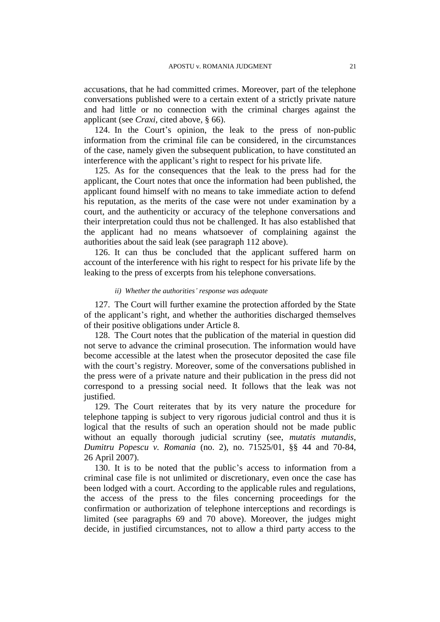accusations, that he had committed crimes. Moreover, part of the telephone conversations published were to a certain extent of a strictly private nature and had little or no connection with the criminal charges against the applicant (see *Craxi*, cited above, § 66).

124. In the Court's opinion, the leak to the press of non-public information from the criminal file can be considered, in the circumstances of the case, namely given the subsequent publication, to have constituted an interference with the applicant's right to respect for his private life.

125. As for the consequences that the leak to the press had for the applicant, the Court notes that once the information had been published, the applicant found himself with no means to take immediate action to defend his reputation, as the merits of the case were not under examination by a court, and the authenticity or accuracy of the telephone conversations and their interpretation could thus not be challenged. It has also established that the applicant had no means whatsoever of complaining against the authorities about the said leak (see paragraph 112 above).

126. It can thus be concluded that the applicant suffered harm on account of the interference with his right to respect for his private life by the leaking to the press of excerpts from his telephone conversations.

### *ii) Whether the authorities' response was adequate*

127. The Court will further examine the protection afforded by the State of the applicant's right, and whether the authorities discharged themselves of their positive obligations under Article 8.

128. The Court notes that the publication of the material in question did not serve to advance the criminal prosecution. The information would have become accessible at the latest when the prosecutor deposited the case file with the court's registry. Moreover, some of the conversations published in the press were of a private nature and their publication in the press did not correspond to a pressing social need. It follows that the leak was not justified.

129. The Court reiterates that by its very nature the procedure for telephone tapping is subject to very rigorous judicial control and thus it is logical that the results of such an operation should not be made public without an equally thorough judicial scrutiny (see, *mutatis mutandis*, *Dumitru Popescu v. Romania* (no. 2), no. 71525/01, §§ 44 and 70-84, 26 April 2007).

130. It is to be noted that the public's access to information from a criminal case file is not unlimited or discretionary, even once the case has been lodged with a court. According to the applicable rules and regulations, the access of the press to the files concerning proceedings for the confirmation or authorization of telephone interceptions and recordings is limited (see paragraphs 69 and 70 above). Moreover, the judges might decide, in justified circumstances, not to allow a third party access to the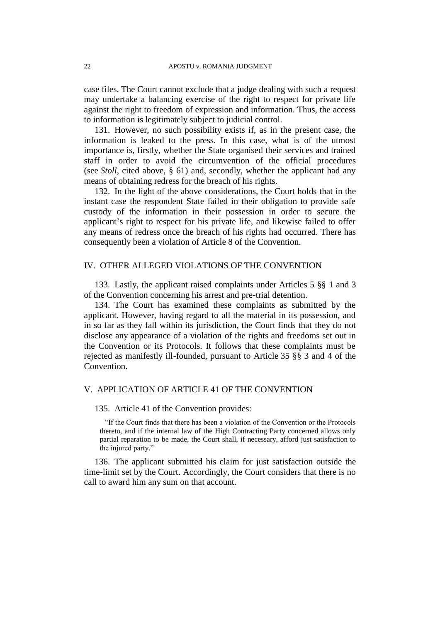case files. The Court cannot exclude that a judge dealing with such a request may undertake a balancing exercise of the right to respect for private life against the right to freedom of expression and information. Thus, the access to information is legitimately subject to judicial control.

131. However, no such possibility exists if, as in the present case, the information is leaked to the press. In this case, what is of the utmost importance is, firstly, whether the State organised their services and trained staff in order to avoid the circumvention of the official procedures (see *Stoll*, cited above, § 61) and, secondly, whether the applicant had any means of obtaining redress for the breach of his rights.

132. In the light of the above considerations, the Court holds that in the instant case the respondent State failed in their obligation to provide safe custody of the information in their possession in order to secure the applicant's right to respect for his private life, and likewise failed to offer any means of redress once the breach of his rights had occurred. There has consequently been a violation of Article 8 of the Convention.

# IV. OTHER ALLEGED VIOLATIONS OF THE CONVENTION

133. Lastly, the applicant raised complaints under Articles 5 §§ 1 and 3 of the Convention concerning his arrest and pre-trial detention.

134. The Court has examined these complaints as submitted by the applicant. However, having regard to all the material in its possession, and in so far as they fall within its jurisdiction, the Court finds that they do not disclose any appearance of a violation of the rights and freedoms set out in the Convention or its Protocols. It follows that these complaints must be rejected as manifestly ill-founded, pursuant to Article 35 §§ 3 and 4 of the Convention.

# V. APPLICATION OF ARTICLE 41 OF THE CONVENTION

# 135. Article 41 of the Convention provides:

"If the Court finds that there has been a violation of the Convention or the Protocols thereto, and if the internal law of the High Contracting Party concerned allows only partial reparation to be made, the Court shall, if necessary, afford just satisfaction to the injured party."

136. The applicant submitted his claim for just satisfaction outside the time-limit set by the Court. Accordingly, the Court considers that there is no call to award him any sum on that account.